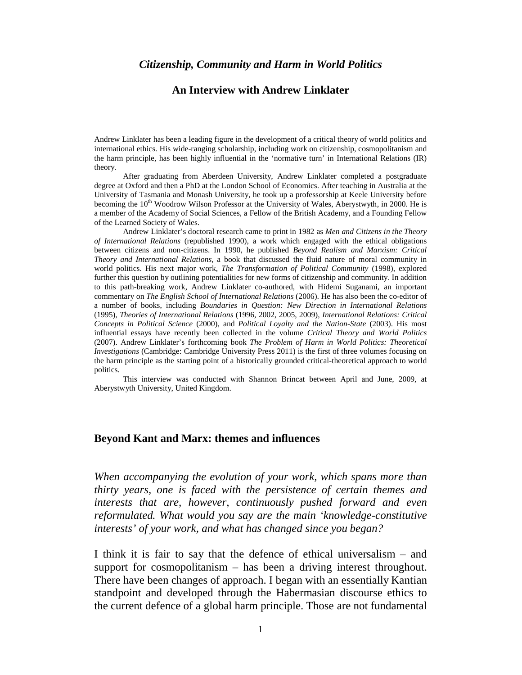#### *Citizenship, Community and Harm in World Politics*

### **An Interview with Andrew Linklater**

Andrew Linklater has been a leading figure in the development of a critical theory of world politics and international ethics. His wide-ranging scholarship, including work on citizenship, cosmopolitanism and the harm principle, has been highly influential in the 'normative turn' in International Relations (IR) theory.

After graduating from Aberdeen University, Andrew Linklater completed a postgraduate degree at Oxford and then a PhD at the London School of Economics. After teaching in Australia at the University of Tasmania and Monash University, he took up a professorship at Keele University before becoming the 10<sup>th</sup> Woodrow Wilson Professor at the University of Wales, Aberystwyth, in 2000. He is a member of the Academy of Social Sciences, a Fellow of the British Academy, and a Founding Fellow of the Learned Society of Wales.

Andrew Linklater's doctoral research came to print in 1982 as *Men and Citizens in the Theory of International Relations* (republished 1990), a work which engaged with the ethical obligations between citizens and non-citizens. In 1990, he published *Beyond Realism and Marxism: Critical Theory and International Relations*, a book that discussed the fluid nature of moral community in world politics. His next major work, *The Transformation of Political Community* (1998), explored further this question by outlining potentialities for new forms of citizenship and community. In addition to this path-breaking work, Andrew Linklater co-authored, with Hidemi Suganami, an important commentary on *The English School of International Relations* (2006). He has also been the co-editor of a number of books, including *Boundaries in Question: New Direction in International Relations* (1995), *Theories of International Relations* (1996, 2002, 2005, 2009), *International Relations: Critical Concepts in Political Science* (2000), and *Political Loyalty and the Nation-State* (2003). His most influential essays have recently been collected in the volume *Critical Theory and World Politics*  (2007). Andrew Linklater's forthcoming book *The Problem of Harm in World Politics: Theoretical Investigations* (Cambridge: Cambridge University Press 2011) is the first of three volumes focusing on the harm principle as the starting point of a historically grounded critical-theoretical approach to world politics.

This interview was conducted with Shannon Brincat between April and June, 2009, at Aberystwyth University, United Kingdom.

#### **Beyond Kant and Marx: themes and influences**

*When accompanying the evolution of your work, which spans more than thirty years, one is faced with the persistence of certain themes and interests that are, however, continuously pushed forward and even reformulated. What would you say are the main 'knowledge-constitutive interests' of your work, and what has changed since you began?*

I think it is fair to say that the defence of ethical universalism – and support for cosmopolitanism – has been a driving interest throughout. There have been changes of approach. I began with an essentially Kantian standpoint and developed through the Habermasian discourse ethics to the current defence of a global harm principle. Those are not fundamental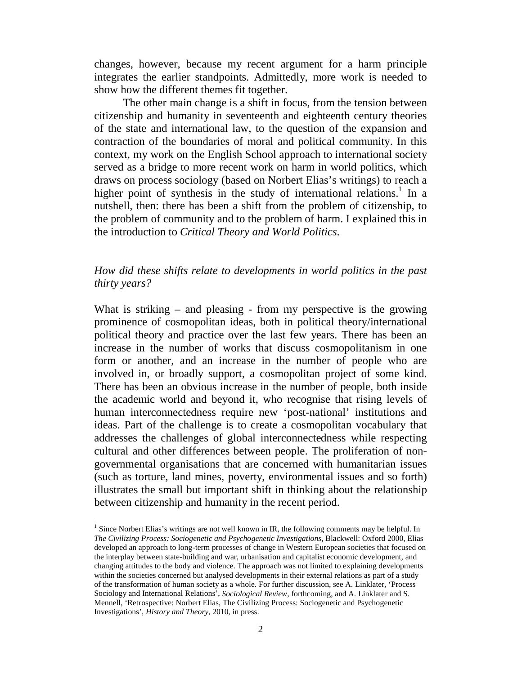changes, however, because my recent argument for a harm principle integrates the earlier standpoints. Admittedly, more work is needed to show how the different themes fit together.

The other main change is a shift in focus, from the tension between citizenship and humanity in seventeenth and eighteenth century theories of the state and international law, to the question of the expansion and contraction of the boundaries of moral and political community. In this context, my work on the English School approach to international society served as a bridge to more recent work on harm in world politics, which draws on process sociology (based on Norbert Elias's writings) to reach a higher point of synthesis in the study of international relations.<sup>1</sup> In a nutshell, then: there has been a shift from the problem of citizenship, to the problem of community and to the problem of harm. I explained this in the introduction to *Critical Theory and World Politics*.

## *How did these shifts relate to developments in world politics in the past thirty years?*

What is striking  $-$  and pleasing  $-$  from my perspective is the growing prominence of cosmopolitan ideas, both in political theory/international political theory and practice over the last few years. There has been an increase in the number of works that discuss cosmopolitanism in one form or another, and an increase in the number of people who are involved in, or broadly support, a cosmopolitan project of some kind. There has been an obvious increase in the number of people, both inside the academic world and beyond it, who recognise that rising levels of human interconnectedness require new 'post-national' institutions and ideas. Part of the challenge is to create a cosmopolitan vocabulary that addresses the challenges of global interconnectedness while respecting cultural and other differences between people. The proliferation of nongovernmental organisations that are concerned with humanitarian issues (such as torture, land mines, poverty, environmental issues and so forth) illustrates the small but important shift in thinking about the relationship between citizenship and humanity in the recent period.

<sup>&</sup>lt;sup>1</sup> Since Norbert Elias's writings are not well known in IR, the following comments may be helpful. In *The Civilizing Process: Sociogenetic and Psychogenetic Investigations*, Blackwell: Oxford 2000, Elias developed an approach to long-term processes of change in Western European societies that focused on the interplay between state-building and war, urbanisation and capitalist economic development, and changing attitudes to the body and violence. The approach was not limited to explaining developments within the societies concerned but analysed developments in their external relations as part of a study of the transformation of human society as a whole. For further discussion, see A. Linklater, 'Process Sociology and International Relations', *Sociological Review*, forthcoming, and A. Linklater and S. Mennell, 'Retrospective: Norbert Elias, The Civilizing Process: Sociogenetic and Psychogenetic Investigations', *History and Theory*, 2010, in press.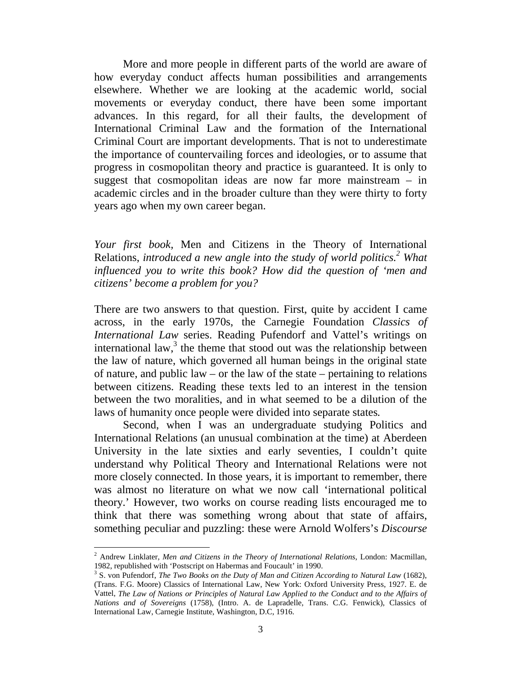More and more people in different parts of the world are aware of how everyday conduct affects human possibilities and arrangements elsewhere. Whether we are looking at the academic world, social movements or everyday conduct, there have been some important advances. In this regard, for all their faults, the development of International Criminal Law and the formation of the International Criminal Court are important developments. That is not to underestimate the importance of countervailing forces and ideologies, or to assume that progress in cosmopolitan theory and practice is guaranteed. It is only to suggest that cosmopolitan ideas are now far more mainstream – in academic circles and in the broader culture than they were thirty to forty years ago when my own career began.

*Your first book,* Men and Citizens in the Theory of International Relations, *introduced a new angle into the study of world politics.2 What influenced you to write this book? How did the question of 'men and citizens' become a problem for you?*

There are two answers to that question. First, quite by accident I came across, in the early 1970s, the Carnegie Foundation *Classics of International Law* series. Reading Pufendorf and Vattel's writings on international law, $3$  the theme that stood out was the relationship between the law of nature, which governed all human beings in the original state of nature, and public law – or the law of the state – pertaining to relations between citizens. Reading these texts led to an interest in the tension between the two moralities, and in what seemed to be a dilution of the laws of humanity once people were divided into separate states.

Second, when I was an undergraduate studying Politics and International Relations (an unusual combination at the time) at Aberdeen University in the late sixties and early seventies, I couldn't quite understand why Political Theory and International Relations were not more closely connected. In those years, it is important to remember, there was almost no literature on what we now call 'international political theory.' However, two works on course reading lists encouraged me to think that there was something wrong about that state of affairs, something peculiar and puzzling: these were Arnold Wolfers's *Discourse* 

<sup>2</sup> Andrew Linklater, *Men and Citizens in the Theory of International Relations*, London: Macmillan, 1982, republished with 'Postscript on Habermas and Foucault' in 1990.

<sup>3</sup> S. von Pufendorf, *The Two Books on the Duty of Man and Citizen According to Natural Law* (1682), (Trans. F.G. Moore) Classics of International Law, New York: Oxford University Press, 1927. E. de Vattel, *The Law of Nations or Principles of Natural Law Applied to the Conduct and to the Affairs of Nations and of Sovereigns* (1758), (Intro. A. de Lapradelle, Trans. C.G. Fenwick), Classics of International Law, Carnegie Institute, Washington, D.C, 1916.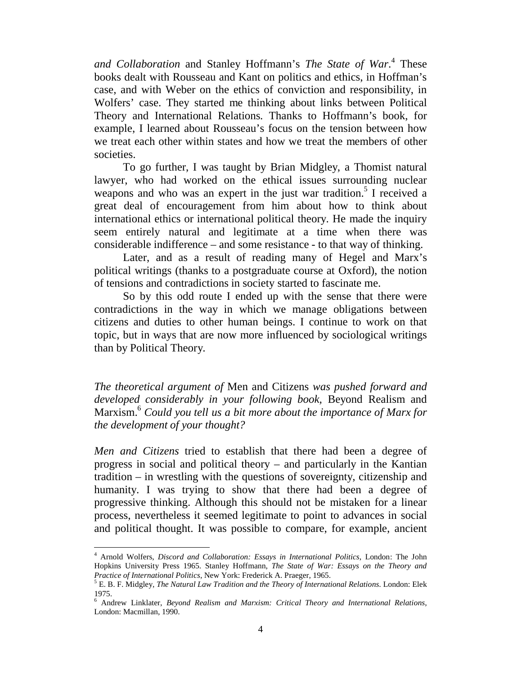*and Collaboration* and Stanley Hoffmann's *The State of War*. <sup>4</sup> These books dealt with Rousseau and Kant on politics and ethics, in Hoffman's case, and with Weber on the ethics of conviction and responsibility, in Wolfers' case. They started me thinking about links between Political Theory and International Relations. Thanks to Hoffmann's book, for example, I learned about Rousseau's focus on the tension between how we treat each other within states and how we treat the members of other societies.

To go further, I was taught by Brian Midgley, a Thomist natural lawyer, who had worked on the ethical issues surrounding nuclear weapons and who was an expert in the just war tradition.<sup>5</sup> I received a great deal of encouragement from him about how to think about international ethics or international political theory. He made the inquiry seem entirely natural and legitimate at a time when there was considerable indifference – and some resistance - to that way of thinking.

Later, and as a result of reading many of Hegel and Marx's political writings (thanks to a postgraduate course at Oxford), the notion of tensions and contradictions in society started to fascinate me.

So by this odd route I ended up with the sense that there were contradictions in the way in which we manage obligations between citizens and duties to other human beings. I continue to work on that topic, but in ways that are now more influenced by sociological writings than by Political Theory.

*The theoretical argument of* Men and Citizens *was pushed forward and developed considerably in your following book,* Beyond Realism and Marxism.<sup>6</sup> *Could you tell us a bit more about the importance of Marx for the development of your thought?*

*Men and Citizens* tried to establish that there had been a degree of progress in social and political theory – and particularly in the Kantian tradition – in wrestling with the questions of sovereignty, citizenship and humanity. I was trying to show that there had been a degree of progressive thinking. Although this should not be mistaken for a linear process, nevertheless it seemed legitimate to point to advances in social and political thought. It was possible to compare, for example, ancient

<sup>4</sup> Arnold Wolfers, *Discord and Collaboration: Essays in International Politics*, London: The John Hopkins University Press 1965. Stanley Hoffmann, *The State of War: Essays on the Theory and Practice of International Politics*, New York: Frederick A. Praeger, 1965.<br><sup>5</sup> E. B. F. Midgley, *The Natural Law Tradition and the Theory of International Relations*. London: Elek

<sup>1975.</sup>

<sup>6</sup> Andrew Linklater, *Beyond Realism and Marxism: Critical Theory and International Relations*, London: Macmillan, 1990.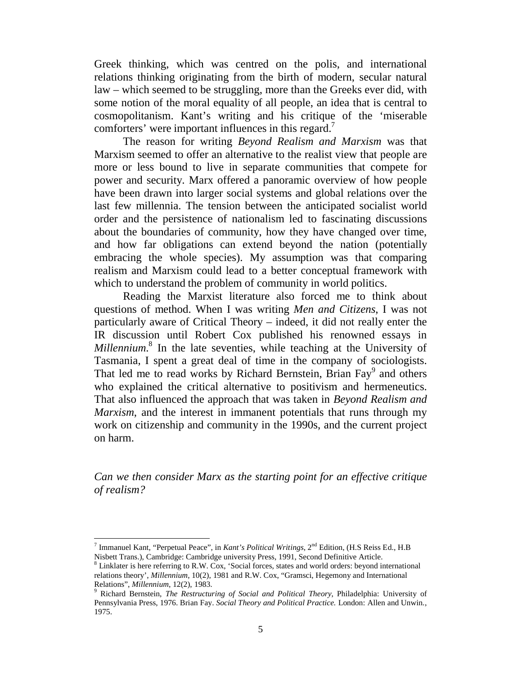Greek thinking, which was centred on the polis, and international relations thinking originating from the birth of modern, secular natural law – which seemed to be struggling, more than the Greeks ever did, with some notion of the moral equality of all people, an idea that is central to cosmopolitanism. Kant's writing and his critique of the 'miserable comforters' were important influences in this regard.<sup>7</sup>

The reason for writing *Beyond Realism and Marxism* was that Marxism seemed to offer an alternative to the realist view that people are more or less bound to live in separate communities that compete for power and security. Marx offered a panoramic overview of how people have been drawn into larger social systems and global relations over the last few millennia. The tension between the anticipated socialist world order and the persistence of nationalism led to fascinating discussions about the boundaries of community, how they have changed over time, and how far obligations can extend beyond the nation (potentially embracing the whole species). My assumption was that comparing realism and Marxism could lead to a better conceptual framework with which to understand the problem of community in world politics.

Reading the Marxist literature also forced me to think about questions of method. When I was writing *Men and Citizens*, I was not particularly aware of Critical Theory – indeed, it did not really enter the IR discussion until Robert Cox published his renowned essays in *Millennium*. <sup>8</sup> In the late seventies, while teaching at the University of Tasmania, I spent a great deal of time in the company of sociologists. That led me to read works by Richard Bernstein, Brian Fay<sup>9</sup> and others who explained the critical alternative to positivism and hermeneutics. That also influenced the approach that was taken in *Beyond Realism and Marxism*, and the interest in immanent potentials that runs through my work on citizenship and community in the 1990s, and the current project on harm.

*Can we then consider Marx as the starting point for an effective critique of realism?*

<sup>7</sup> Immanuel Kant, "Perpetual Peace", in *Kant's Political Writings*, 2nd Edition, (H.S Reiss Ed., H.B Nisbett Trans.), Cambridge: Cambridge university Press, 1991, Second Definitive Article.

<sup>8</sup> Linklater is here referring to R.W. Cox, 'Social forces, states and world orders: beyond international relations theory', *Millennium*, 10(2), 1981 and R.W. Cox, "Gramsci, Hegemony and International Relations", *Millennium*, 12(2), 1983.<br><sup>9</sup> Richard Bernstein, *The Restructuring of Social and Political Theory*, Philadelphia: University of

Pennsylvania Press, 1976. Brian Fay. *Social Theory and Political Practice.* London: Allen and Unwin., 1975.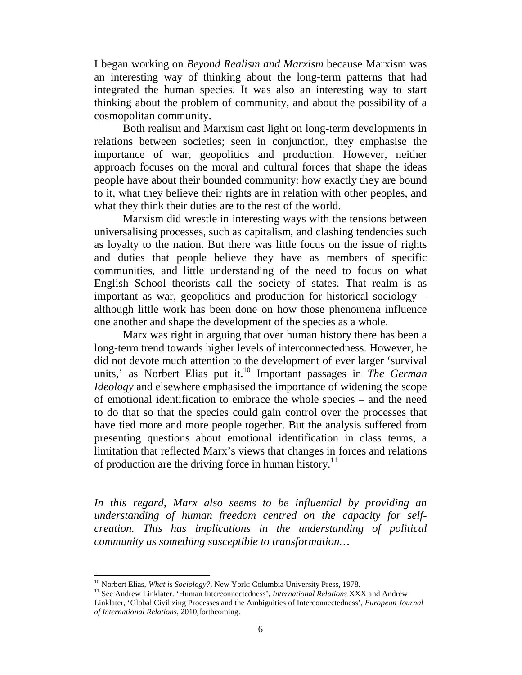I began working on *Beyond Realism and Marxism* because Marxism was an interesting way of thinking about the long-term patterns that had integrated the human species. It was also an interesting way to start thinking about the problem of community, and about the possibility of a cosmopolitan community.

Both realism and Marxism cast light on long-term developments in relations between societies; seen in conjunction, they emphasise the importance of war, geopolitics and production. However, neither approach focuses on the moral and cultural forces that shape the ideas people have about their bounded community: how exactly they are bound to it, what they believe their rights are in relation with other peoples, and what they think their duties are to the rest of the world.

Marxism did wrestle in interesting ways with the tensions between universalising processes, such as capitalism, and clashing tendencies such as loyalty to the nation. But there was little focus on the issue of rights and duties that people believe they have as members of specific communities, and little understanding of the need to focus on what English School theorists call the society of states. That realm is as important as war, geopolitics and production for historical sociology – although little work has been done on how those phenomena influence one another and shape the development of the species as a whole.

Marx was right in arguing that over human history there has been a long-term trend towards higher levels of interconnectedness. However, he did not devote much attention to the development of ever larger 'survival units,' as Norbert Elias put it.<sup>10</sup> Important passages in *The German Ideology* and elsewhere emphasised the importance of widening the scope of emotional identification to embrace the whole species – and the need to do that so that the species could gain control over the processes that have tied more and more people together. But the analysis suffered from presenting questions about emotional identification in class terms, a limitation that reflected Marx's views that changes in forces and relations of production are the driving force in human history.<sup>11</sup>

*In this regard, Marx also seems to be influential by providing an understanding of human freedom centred on the capacity for selfcreation. This has implications in the understanding of political community as something susceptible to transformation…*

<sup>&</sup>lt;sup>10</sup> Norbert Elias, *What is Sociology?*, New York: Columbia University Press, 1978.<br><sup>11</sup> See Andrew Linklater. 'Human Interconnectedness', *International Relations* XXX and Andrew Linklater, 'Global Civilizing Processes and the Ambiguities of Interconnectedness', *European Journal of International Relations*, 2010,forthcoming.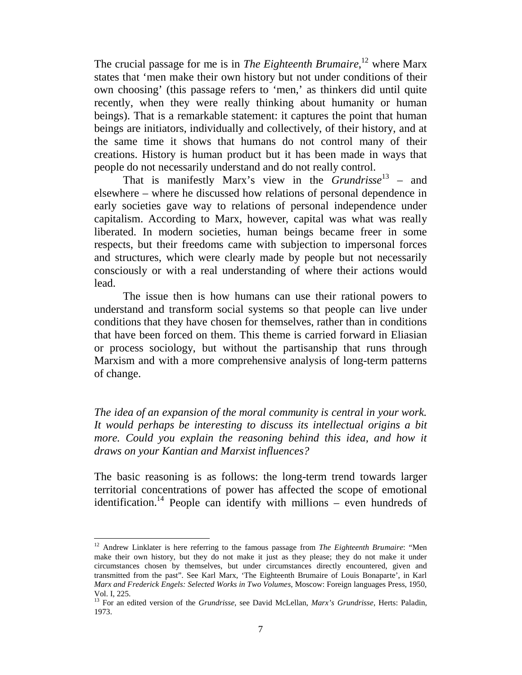The crucial passage for me is in *The Eighteenth Brumaire*, <sup>12</sup> where Marx states that 'men make their own history but not under conditions of their own choosing' (this passage refers to 'men,' as thinkers did until quite recently, when they were really thinking about humanity or human beings). That is a remarkable statement: it captures the point that human beings are initiators, individually and collectively, of their history, and at the same time it shows that humans do not control many of their creations. History is human product but it has been made in ways that people do not necessarily understand and do not really control.

That is manifestly Marx's view in the *Grundrisse*<sup>13</sup> – and elsewhere – where he discussed how relations of personal dependence in early societies gave way to relations of personal independence under capitalism. According to Marx, however, capital was what was really liberated. In modern societies, human beings became freer in some respects, but their freedoms came with subjection to impersonal forces and structures, which were clearly made by people but not necessarily consciously or with a real understanding of where their actions would lead.

The issue then is how humans can use their rational powers to understand and transform social systems so that people can live under conditions that they have chosen for themselves, rather than in conditions that have been forced on them. This theme is carried forward in Eliasian or process sociology, but without the partisanship that runs through Marxism and with a more comprehensive analysis of long-term patterns of change.

*The idea of an expansion of the moral community is central in your work. It would perhaps be interesting to discuss its intellectual origins a bit*  more. Could you explain the reasoning behind this idea, and how it *draws on your Kantian and Marxist influences?*

The basic reasoning is as follows: the long-term trend towards larger territorial concentrations of power has affected the scope of emotional identification.<sup>14</sup> People can identify with millions – even hundreds of

<sup>&</sup>lt;sup>12</sup> Andrew Linklater is here referring to the famous passage from *The Eighteenth Brumaire*: "Men make their own history, but they do not make it just as they please; they do not make it under circumstances chosen by themselves, but under circumstances directly encountered, given and transmitted from the past". See Karl Marx, 'The Eighteenth Brumaire of Louis Bonaparte', in Karl *Marx and Frederick Engels: Selected Works in Two Volumes*, Moscow: Foreign languages Press, 1950, Vol. I, 225.

<sup>13</sup> For an edited version of the *Grundrisse*, see David McLellan, *Marx's Grundrisse*, Herts: Paladin, 1973.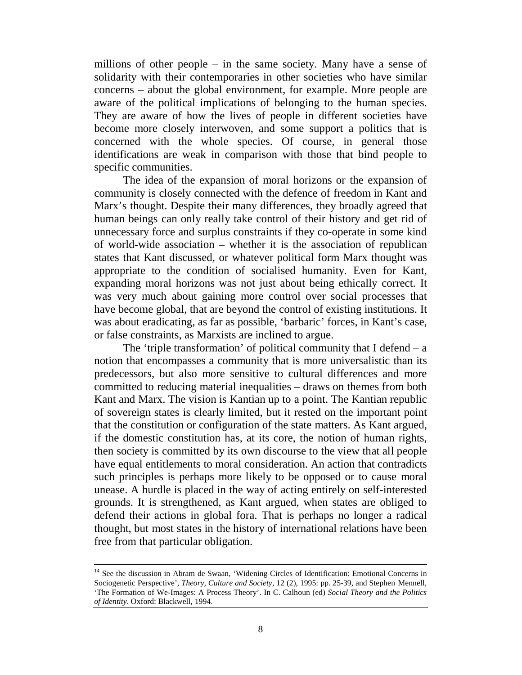millions of other people – in the same society. Many have a sense of solidarity with their contemporaries in other societies who have similar concerns – about the global environment, for example. More people are aware of the political implications of belonging to the human species. They are aware of how the lives of people in different societies have become more closely interwoven, and some support a politics that is concerned with the whole species. Of course, in general those identifications are weak in comparison with those that bind people to specific communities.

The idea of the expansion of moral horizons or the expansion of community is closely connected with the defence of freedom in Kant and Marx's thought. Despite their many differences, they broadly agreed that human beings can only really take control of their history and get rid of unnecessary force and surplus constraints if they co-operate in some kind of world-wide association – whether it is the association of republican states that Kant discussed, or whatever political form Marx thought was appropriate to the condition of socialised humanity. Even for Kant, expanding moral horizons was not just about being ethically correct. It was very much about gaining more control over social processes that have become global, that are beyond the control of existing institutions. It was about eradicating, as far as possible, 'barbaric' forces, in Kant's case, or false constraints, as Marxists are inclined to argue.

The 'triple transformation' of political community that I defend  $- a$ notion that encompasses a community that is more universalistic than its predecessors, but also more sensitive to cultural differences and more committed to reducing material inequalities – draws on themes from both Kant and Marx. The vision is Kantian up to a point. The Kantian republic of sovereign states is clearly limited, but it rested on the important point that the constitution or configuration of the state matters. As Kant argued, if the domestic constitution has, at its core, the notion of human rights, then society is committed by its own discourse to the view that all people have equal entitlements to moral consideration. An action that contradicts such principles is perhaps more likely to be opposed or to cause moral unease. A hurdle is placed in the way of acting entirely on self-interested grounds. It is strengthened, as Kant argued, when states are obliged to defend their actions in global fora. That is perhaps no longer a radical thought, but most states in the history of international relations have been free from that particular obligation.

<sup>&</sup>lt;sup>14</sup> See the discussion in Abram de Swaan, 'Widening Circles of Identification: Emotional Concerns in Sociogenetic Perspective', *Theory, Culture and Society*, 12 (2), 1995: pp. 25-39, and Stephen Mennell, 'The Formation of We-Images: A Process Theory'. In C. Calhoun (ed) *Social Theory and the Politics of Identity*. Oxford: Blackwell, 1994.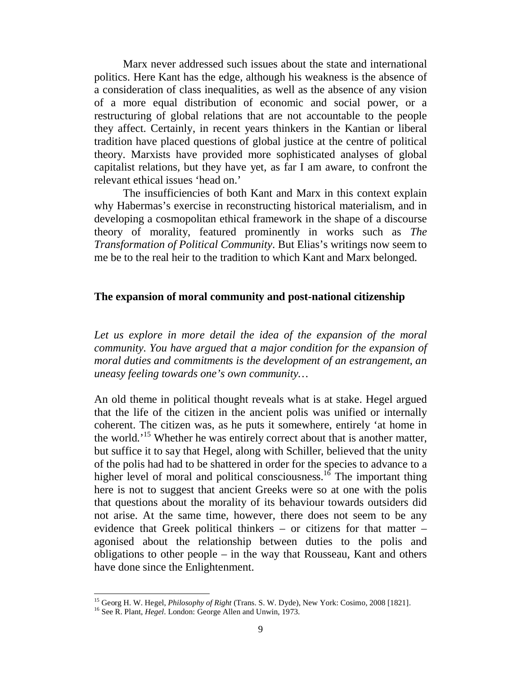Marx never addressed such issues about the state and international politics. Here Kant has the edge, although his weakness is the absence of a consideration of class inequalities, as well as the absence of any vision of a more equal distribution of economic and social power, or a restructuring of global relations that are not accountable to the people they affect. Certainly, in recent years thinkers in the Kantian or liberal tradition have placed questions of global justice at the centre of political theory. Marxists have provided more sophisticated analyses of global capitalist relations, but they have yet, as far I am aware, to confront the relevant ethical issues 'head on.'

The insufficiencies of both Kant and Marx in this context explain why Habermas's exercise in reconstructing historical materialism, and in developing a cosmopolitan ethical framework in the shape of a discourse theory of morality, featured prominently in works such as *The Transformation of Political Community*. But Elias's writings now seem to me be to the real heir to the tradition to which Kant and Marx belonged.

#### **The expansion of moral community and post-national citizenship**

Let us explore in more detail the idea of the expansion of the moral *community. You have argued that a major condition for the expansion of moral duties and commitments is the development of an estrangement, an uneasy feeling towards one's own community…*

An old theme in political thought reveals what is at stake. Hegel argued that the life of the citizen in the ancient polis was unified or internally coherent. The citizen was, as he puts it somewhere, entirely 'at home in the world.<sup>'15</sup> Whether he was entirely correct about that is another matter, but suffice it to say that Hegel, along with Schiller, believed that the unity of the polis had had to be shattered in order for the species to advance to a higher level of moral and political consciousness.<sup>16</sup> The important thing here is not to suggest that ancient Greeks were so at one with the polis that questions about the morality of its behaviour towards outsiders did not arise. At the same time, however, there does not seem to be any evidence that Greek political thinkers – or citizens for that matter – agonised about the relationship between duties to the polis and obligations to other people – in the way that Rousseau, Kant and others have done since the Enlightenment.

<sup>&</sup>lt;sup>15</sup> Georg H. W. Hegel, *Philosophy of Right* (Trans. S. W. Dyde), New York: Cosimo, 2008 [1821].<br><sup>16</sup> See R. Plant, *Hegel*. London: George Allen and Unwin, 1973.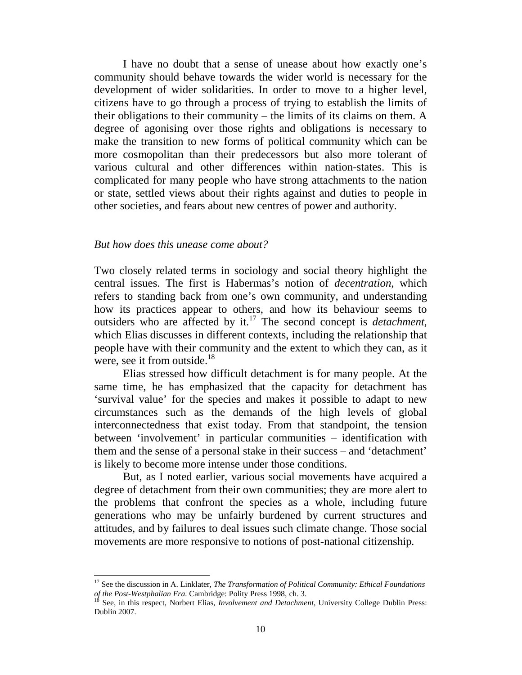I have no doubt that a sense of unease about how exactly one's community should behave towards the wider world is necessary for the development of wider solidarities. In order to move to a higher level, citizens have to go through a process of trying to establish the limits of their obligations to their community – the limits of its claims on them. A degree of agonising over those rights and obligations is necessary to make the transition to new forms of political community which can be more cosmopolitan than their predecessors but also more tolerant of various cultural and other differences within nation-states. This is complicated for many people who have strong attachments to the nation or state, settled views about their rights against and duties to people in other societies, and fears about new centres of power and authority.

#### *But how does this unease come about?*

-

Two closely related terms in sociology and social theory highlight the central issues. The first is Habermas's notion of *decentration*, which refers to standing back from one's own community, and understanding how its practices appear to others, and how its behaviour seems to outsiders who are affected by it.<sup>17</sup> The second concept is *detachment*, which Elias discusses in different contexts, including the relationship that people have with their community and the extent to which they can, as it were, see it from outside.<sup>18</sup>

Elias stressed how difficult detachment is for many people. At the same time, he has emphasized that the capacity for detachment has 'survival value' for the species and makes it possible to adapt to new circumstances such as the demands of the high levels of global interconnectedness that exist today. From that standpoint, the tension between 'involvement' in particular communities – identification with them and the sense of a personal stake in their success – and 'detachment' is likely to become more intense under those conditions.

But, as I noted earlier, various social movements have acquired a degree of detachment from their own communities; they are more alert to the problems that confront the species as a whole, including future generations who may be unfairly burdened by current structures and attitudes, and by failures to deal issues such climate change. Those social movements are more responsive to notions of post-national citizenship.

<sup>&</sup>lt;sup>17</sup> See the discussion in A. Linklater, *The Transformation of Political Community: Ethical Foundations* of the Post-Westphalian Era. Campidge: Polity Press 1998, ch. 3.

See, in this respect, Norbert Elias, *Involvement and Detachment*, University College Dublin Press: Dublin 2007.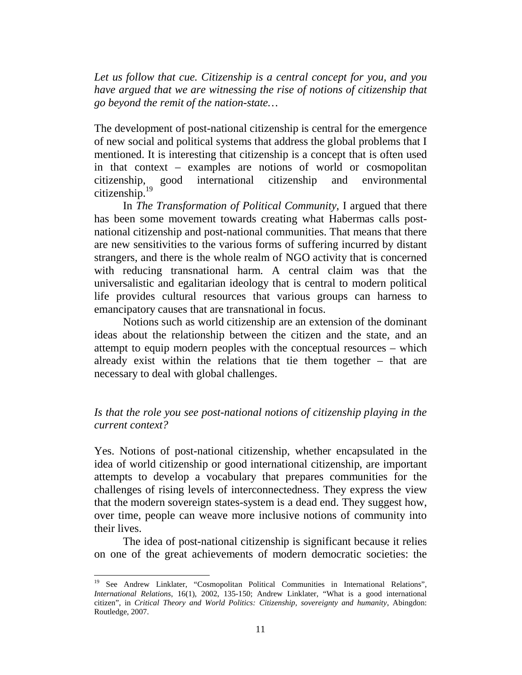*Let us follow that cue. Citizenship is a central concept for you, and you have argued that we are witnessing the rise of notions of citizenship that go beyond the remit of the nation-state…*

The development of post-national citizenship is central for the emergence of new social and political systems that address the global problems that I mentioned. It is interesting that citizenship is a concept that is often used in that context – examples are notions of world or cosmopolitan citizenship, good international citizenship and environmental citizenship.19

In *The Transformation of Political Community*, I argued that there has been some movement towards creating what Habermas calls postnational citizenship and post-national communities. That means that there are new sensitivities to the various forms of suffering incurred by distant strangers, and there is the whole realm of NGO activity that is concerned with reducing transnational harm. A central claim was that the universalistic and egalitarian ideology that is central to modern political life provides cultural resources that various groups can harness to emancipatory causes that are transnational in focus.

Notions such as world citizenship are an extension of the dominant ideas about the relationship between the citizen and the state, and an attempt to equip modern peoples with the conceptual resources – which already exist within the relations that tie them together – that are necessary to deal with global challenges.

# *Is that the role you see post-national notions of citizenship playing in the current context?*

Yes. Notions of post-national citizenship, whether encapsulated in the idea of world citizenship or good international citizenship, are important attempts to develop a vocabulary that prepares communities for the challenges of rising levels of interconnectedness. They express the view that the modern sovereign states-system is a dead end. They suggest how, over time, people can weave more inclusive notions of community into their lives.

The idea of post-national citizenship is significant because it relies on one of the great achievements of modern democratic societies: the

<sup>&</sup>lt;sup>19</sup> See Andrew Linklater, "Cosmopolitan Political Communities in International Relations", *International Relations*, 16(1), 2002, 135-150; Andrew Linklater, "What is a good international citizen", in *Critical Theory and World Politics: Citizenship, sovereignty and humanity*, Abingdon: Routledge, 2007.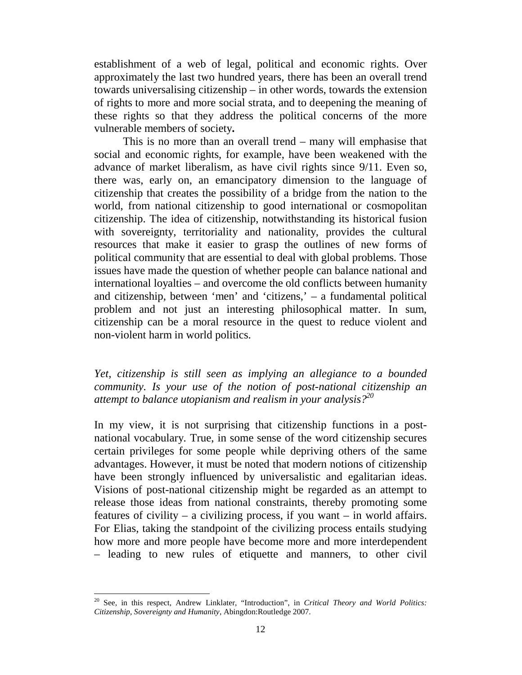establishment of a web of legal, political and economic rights. Over approximately the last two hundred years, there has been an overall trend towards universalising citizenship – in other words, towards the extension of rights to more and more social strata, and to deepening the meaning of these rights so that they address the political concerns of the more vulnerable members of society**.** 

This is no more than an overall trend – many will emphasise that social and economic rights, for example, have been weakened with the advance of market liberalism, as have civil rights since 9/11. Even so, there was, early on, an emancipatory dimension to the language of citizenship that creates the possibility of a bridge from the nation to the world, from national citizenship to good international or cosmopolitan citizenship. The idea of citizenship, notwithstanding its historical fusion with sovereignty, territoriality and nationality, provides the cultural resources that make it easier to grasp the outlines of new forms of political community that are essential to deal with global problems. Those issues have made the question of whether people can balance national and international loyalties – and overcome the old conflicts between humanity and citizenship, between 'men' and 'citizens,' – a fundamental political problem and not just an interesting philosophical matter. In sum, citizenship can be a moral resource in the quest to reduce violent and non-violent harm in world politics.

*Yet, citizenship is still seen as implying an allegiance to a bounded community. Is your use of the notion of post-national citizenship an attempt to balance utopianism and realism in your analysis?20*

In my view, it is not surprising that citizenship functions in a postnational vocabulary. True, in some sense of the word citizenship secures certain privileges for some people while depriving others of the same advantages. However, it must be noted that modern notions of citizenship have been strongly influenced by universalistic and egalitarian ideas. Visions of post-national citizenship might be regarded as an attempt to release those ideas from national constraints, thereby promoting some features of civility – a civilizing process, if you want – in world affairs. For Elias, taking the standpoint of the civilizing process entails studying how more and more people have become more and more interdependent – leading to new rules of etiquette and manners, to other civil

<sup>-</sup><sup>20</sup> See, in this respect, Andrew Linklater, "Introduction", in *Critical Theory and World Politics: Citizenship, Sovereignty and Humanity*, Abingdon:Routledge 2007.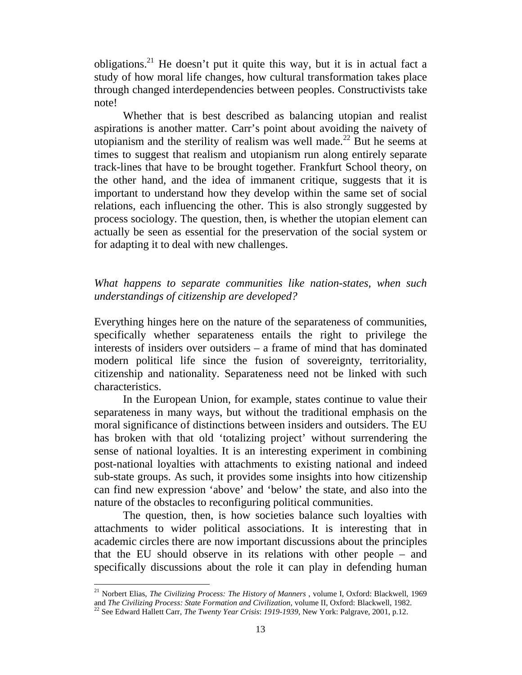obligations.<sup>21</sup> He doesn't put it quite this way, but it is in actual fact a study of how moral life changes, how cultural transformation takes place through changed interdependencies between peoples. Constructivists take note!

Whether that is best described as balancing utopian and realist aspirations is another matter. Carr's point about avoiding the naivety of utopianism and the sterility of realism was well made.<sup>22</sup> But he seems at times to suggest that realism and utopianism run along entirely separate track-lines that have to be brought together. Frankfurt School theory, on the other hand, and the idea of immanent critique, suggests that it is important to understand how they develop within the same set of social relations, each influencing the other. This is also strongly suggested by process sociology. The question, then, is whether the utopian element can actually be seen as essential for the preservation of the social system or for adapting it to deal with new challenges.

## *What happens to separate communities like nation-states, when such understandings of citizenship are developed?*

Everything hinges here on the nature of the separateness of communities, specifically whether separateness entails the right to privilege the interests of insiders over outsiders – a frame of mind that has dominated modern political life since the fusion of sovereignty, territoriality, citizenship and nationality. Separateness need not be linked with such characteristics.

In the European Union, for example, states continue to value their separateness in many ways, but without the traditional emphasis on the moral significance of distinctions between insiders and outsiders. The EU has broken with that old 'totalizing project' without surrendering the sense of national loyalties. It is an interesting experiment in combining post-national loyalties with attachments to existing national and indeed sub-state groups. As such, it provides some insights into how citizenship can find new expression 'above' and 'below' the state, and also into the nature of the obstacles to reconfiguring political communities.

The question, then, is how societies balance such loyalties with attachments to wider political associations. It is interesting that in academic circles there are now important discussions about the principles that the EU should observe in its relations with other people – and specifically discussions about the role it can play in defending human

<sup>&</sup>lt;sup>21</sup> Norbert Elias, *The Civilizing Process: The History of Manners*, volume I, Oxford: Blackwell, 1969 and *The Civilizing Process: State Formation and Civilization*, volume II, Oxford: Blackwell, 1982.

<sup>&</sup>lt;sup>22</sup> See Edward Hallett Carr, *The Twenty Year Crisis: 1919-1939*, New York: Palgrave, 2001, p.12.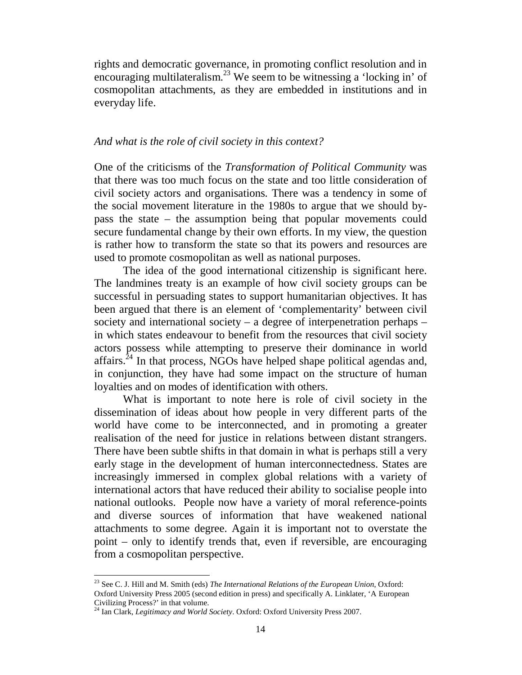rights and democratic governance, in promoting conflict resolution and in encouraging multilateralism.<sup>23</sup> We seem to be witnessing a 'locking in' of cosmopolitan attachments, as they are embedded in institutions and in everyday life.

### *And what is the role of civil society in this context?*

One of the criticisms of the *Transformation of Political Community* was that there was too much focus on the state and too little consideration of civil society actors and organisations. There was a tendency in some of the social movement literature in the 1980s to argue that we should bypass the state – the assumption being that popular movements could secure fundamental change by their own efforts. In my view, the question is rather how to transform the state so that its powers and resources are used to promote cosmopolitan as well as national purposes.

The idea of the good international citizenship is significant here. The landmines treaty is an example of how civil society groups can be successful in persuading states to support humanitarian objectives. It has been argued that there is an element of 'complementarity' between civil society and international society – a degree of interpenetration perhaps – in which states endeavour to benefit from the resources that civil society actors possess while attempting to preserve their dominance in world affairs.24 In that process, NGOs have helped shape political agendas and, in conjunction, they have had some impact on the structure of human loyalties and on modes of identification with others.

What is important to note here is role of civil society in the dissemination of ideas about how people in very different parts of the world have come to be interconnected, and in promoting a greater realisation of the need for justice in relations between distant strangers. There have been subtle shifts in that domain in what is perhaps still a very early stage in the development of human interconnectedness. States are increasingly immersed in complex global relations with a variety of international actors that have reduced their ability to socialise people into national outlooks. People now have a variety of moral reference-points and diverse sources of information that have weakened national attachments to some degree. Again it is important not to overstate the point – only to identify trends that, even if reversible, are encouraging from a cosmopolitan perspective.

<sup>23</sup> See C. J. Hill and M. Smith (eds) *The International Relations of the European Union*, Oxford: Oxford University Press 2005 (second edition in press) and specifically A. Linklater, 'A European Civilizing Process?' in that volume.

<sup>24</sup> Ian Clark, *Legitimacy and World Society*. Oxford: Oxford University Press 2007.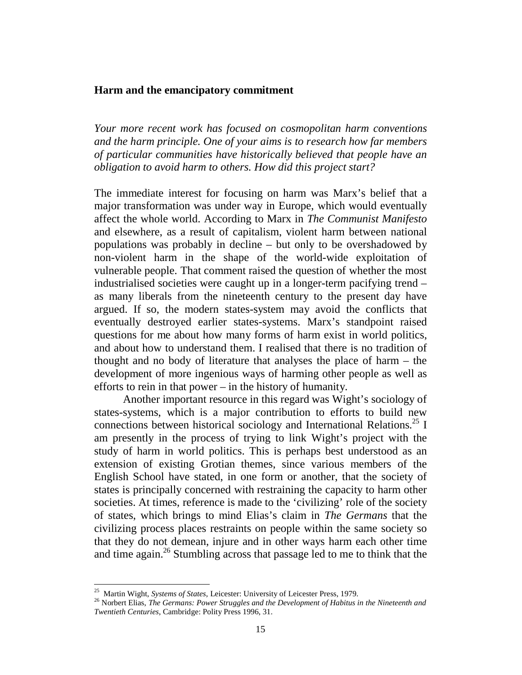### **Harm and the emancipatory commitment**

*Your more recent work has focused on cosmopolitan harm conventions and the harm principle. One of your aims is to research how far members of particular communities have historically believed that people have an obligation to avoid harm to others. How did this project start?*

The immediate interest for focusing on harm was Marx's belief that a major transformation was under way in Europe, which would eventually affect the whole world. According to Marx in *The Communist Manifesto* and elsewhere, as a result of capitalism, violent harm between national populations was probably in decline – but only to be overshadowed by non-violent harm in the shape of the world-wide exploitation of vulnerable people. That comment raised the question of whether the most industrialised societies were caught up in a longer-term pacifying trend – as many liberals from the nineteenth century to the present day have argued. If so, the modern states-system may avoid the conflicts that eventually destroyed earlier states-systems. Marx's standpoint raised questions for me about how many forms of harm exist in world politics, and about how to understand them. I realised that there is no tradition of thought and no body of literature that analyses the place of harm – the development of more ingenious ways of harming other people as well as efforts to rein in that power – in the history of humanity.

Another important resource in this regard was Wight's sociology of states-systems, which is a major contribution to efforts to build new connections between historical sociology and International Relations.<sup>25</sup> I am presently in the process of trying to link Wight's project with the study of harm in world politics. This is perhaps best understood as an extension of existing Grotian themes, since various members of the English School have stated, in one form or another, that the society of states is principally concerned with restraining the capacity to harm other societies. At times, reference is made to the 'civilizing' role of the society of states, which brings to mind Elias's claim in *The Germans* that the civilizing process places restraints on people within the same society so that they do not demean, injure and in other ways harm each other time and time again.<sup>26</sup> Stumbling across that passage led to me to think that the

<sup>25</sup> 

<sup>&</sup>lt;sup>25</sup> Martin Wight, *Systems of States*, Leicester: University of Leicester Press, 1979.<br><sup>26</sup> Norbert Elias, *The Germans: Power Struggles and the Development of Habitus in the Nineteenth and Twentieth Centuries*, Cambridge: Polity Press 1996, 31.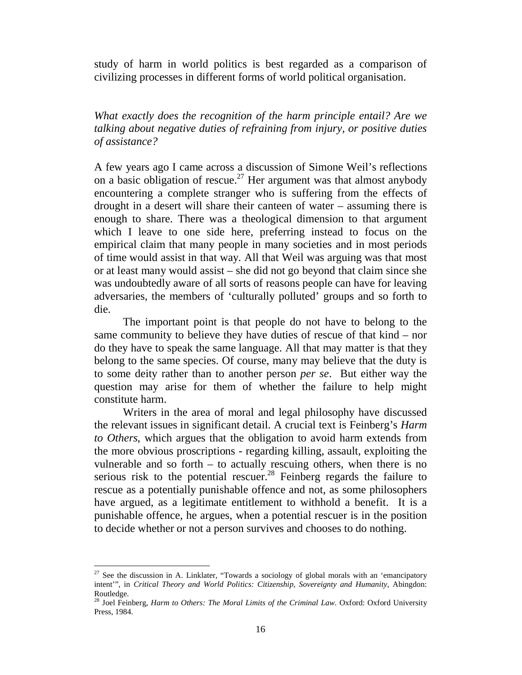study of harm in world politics is best regarded as a comparison of civilizing processes in different forms of world political organisation.

*What exactly does the recognition of the harm principle entail? Are we talking about negative duties of refraining from injury, or positive duties of assistance?*

A few years ago I came across a discussion of Simone Weil's reflections on a basic obligation of rescue.<sup>27</sup> Her argument was that almost anybody encountering a complete stranger who is suffering from the effects of drought in a desert will share their canteen of water – assuming there is enough to share. There was a theological dimension to that argument which I leave to one side here, preferring instead to focus on the empirical claim that many people in many societies and in most periods of time would assist in that way. All that Weil was arguing was that most or at least many would assist – she did not go beyond that claim since she was undoubtedly aware of all sorts of reasons people can have for leaving adversaries, the members of 'culturally polluted' groups and so forth to die.

The important point is that people do not have to belong to the same community to believe they have duties of rescue of that kind – nor do they have to speak the same language. All that may matter is that they belong to the same species. Of course, many may believe that the duty is to some deity rather than to another person *per se*. But either way the question may arise for them of whether the failure to help might constitute harm.

Writers in the area of moral and legal philosophy have discussed the relevant issues in significant detail. A crucial text is Feinberg's *Harm to Others*, which argues that the obligation to avoid harm extends from the more obvious proscriptions - regarding killing, assault, exploiting the vulnerable and so forth  $-$  to actually rescuing others, when there is no serious risk to the potential rescuer.<sup>28</sup> Feinberg regards the failure to rescue as a potentially punishable offence and not, as some philosophers have argued, as a legitimate entitlement to withhold a benefit. It is a punishable offence, he argues, when a potential rescuer is in the position to decide whether or not a person survives and chooses to do nothing.

 $27$  See the discussion in A. Linklater, "Towards a sociology of global morals with an 'emancipatory intent'", in *Critical Theory and World Politics: Citizenship, Sovereignty and Humanity*, Abingdon: Routledge.

<sup>28</sup> Joel Feinberg, *Harm to Others: The Moral Limits of the Criminal Law*. Oxford: Oxford University Press, 1984.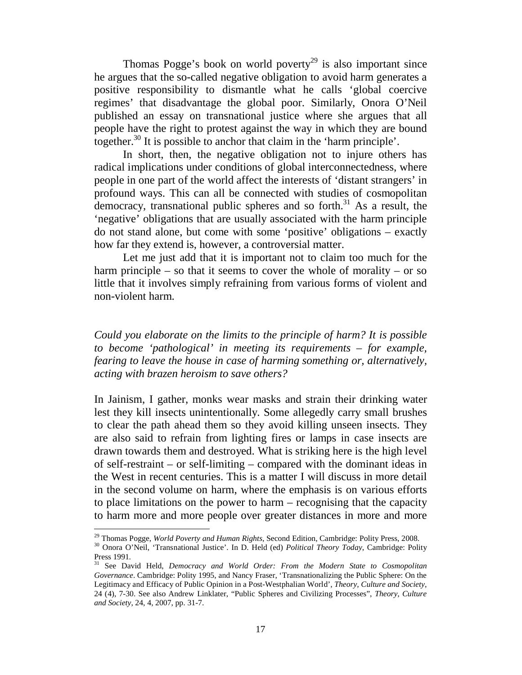Thomas Pogge's book on world poverty<sup>29</sup> is also important since he argues that the so-called negative obligation to avoid harm generates a positive responsibility to dismantle what he calls 'global coercive regimes' that disadvantage the global poor. Similarly, Onora O'Neil published an essay on transnational justice where she argues that all people have the right to protest against the way in which they are bound together.30 It is possible to anchor that claim in the 'harm principle'.

In short, then, the negative obligation not to injure others has radical implications under conditions of global interconnectedness, where people in one part of the world affect the interests of 'distant strangers' in profound ways. This can all be connected with studies of cosmopolitan democracy, transnational public spheres and so forth. $31$  As a result, the 'negative' obligations that are usually associated with the harm principle do not stand alone, but come with some 'positive' obligations – exactly how far they extend is, however, a controversial matter.

Let me just add that it is important not to claim too much for the harm principle – so that it seems to cover the whole of morality – or so little that it involves simply refraining from various forms of violent and non-violent harm.

*Could you elaborate on the limits to the principle of harm? It is possible to become 'pathological' in meeting its requirements – for example, fearing to leave the house in case of harming something or, alternatively, acting with brazen heroism to save others?*

In Jainism, I gather, monks wear masks and strain their drinking water lest they kill insects unintentionally. Some allegedly carry small brushes to clear the path ahead them so they avoid killing unseen insects. They are also said to refrain from lighting fires or lamps in case insects are drawn towards them and destroyed. What is striking here is the high level of self-restraint – or self-limiting – compared with the dominant ideas in the West in recent centuries. This is a matter I will discuss in more detail in the second volume on harm, where the emphasis is on various efforts to place limitations on the power to harm – recognising that the capacity to harm more and more people over greater distances in more and more

<sup>&</sup>lt;sup>29</sup> Thomas Pogge, *World Poverty and Human Rights*, Second Edition, Cambridge: Polity Press, 2008.<br><sup>30</sup> Onora O'Neil, 'Transnational Justice'. In D. Held (ed) *Political Theory Today*, Cambridge: Polity Press 1991.

<sup>31</sup> See David Held, *Democracy and World Order: From the Modern State to Cosmopolitan Governance*. Cambridge: Polity 1995, and Nancy Fraser, 'Transnationalizing the Public Sphere: On the Legitimacy and Efficacy of Public Opinion in a Post-Westphalian World', *Theory, Culture and Society*, 24 (4), 7-30. See also Andrew Linklater, "Public Spheres and Civilizing Processes", *Theory, Culture and Society*, 24, 4, 2007, pp. 31-7.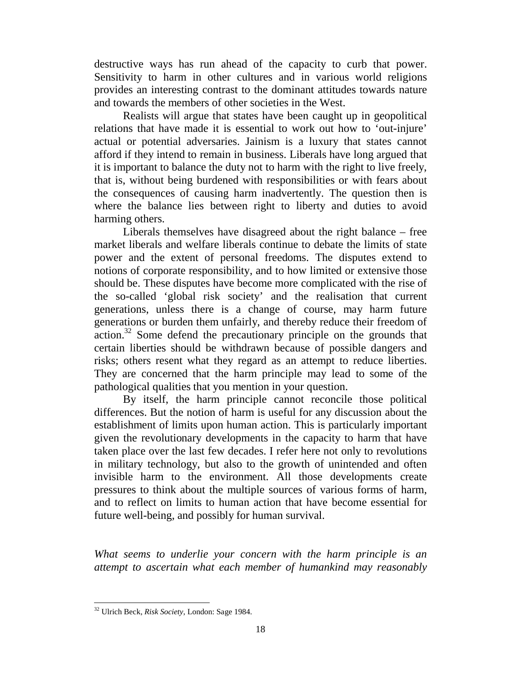destructive ways has run ahead of the capacity to curb that power. Sensitivity to harm in other cultures and in various world religions provides an interesting contrast to the dominant attitudes towards nature and towards the members of other societies in the West.

Realists will argue that states have been caught up in geopolitical relations that have made it is essential to work out how to 'out-injure' actual or potential adversaries. Jainism is a luxury that states cannot afford if they intend to remain in business. Liberals have long argued that it is important to balance the duty not to harm with the right to live freely, that is, without being burdened with responsibilities or with fears about the consequences of causing harm inadvertently. The question then is where the balance lies between right to liberty and duties to avoid harming others.

Liberals themselves have disagreed about the right balance – free market liberals and welfare liberals continue to debate the limits of state power and the extent of personal freedoms. The disputes extend to notions of corporate responsibility, and to how limited or extensive those should be. These disputes have become more complicated with the rise of the so-called 'global risk society' and the realisation that current generations, unless there is a change of course, may harm future generations or burden them unfairly, and thereby reduce their freedom of action.<sup>32</sup> Some defend the precautionary principle on the grounds that certain liberties should be withdrawn because of possible dangers and risks; others resent what they regard as an attempt to reduce liberties. They are concerned that the harm principle may lead to some of the pathological qualities that you mention in your question.

By itself, the harm principle cannot reconcile those political differences. But the notion of harm is useful for any discussion about the establishment of limits upon human action. This is particularly important given the revolutionary developments in the capacity to harm that have taken place over the last few decades. I refer here not only to revolutions in military technology, but also to the growth of unintended and often invisible harm to the environment. All those developments create pressures to think about the multiple sources of various forms of harm, and to reflect on limits to human action that have become essential for future well-being, and possibly for human survival.

*What seems to underlie your concern with the harm principle is an attempt to ascertain what each member of humankind may reasonably* 

<sup>32</sup> Ulrich Beck, *Risk Society*, London: Sage 1984.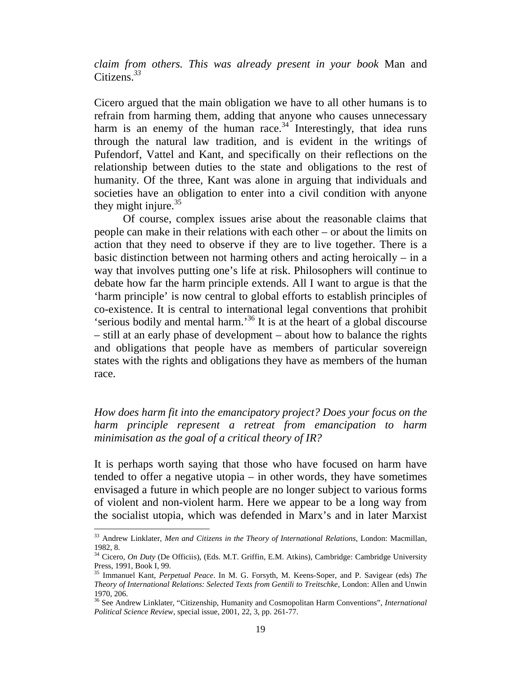## *claim from others. This was already present in your book* Man and Citizens.*<sup>33</sup>*

Cicero argued that the main obligation we have to all other humans is to refrain from harming them, adding that anyone who causes unnecessary harm is an enemy of the human race.<sup>34</sup> Interestingly, that idea runs through the natural law tradition, and is evident in the writings of Pufendorf, Vattel and Kant, and specifically on their reflections on the relationship between duties to the state and obligations to the rest of humanity. Of the three, Kant was alone in arguing that individuals and societies have an obligation to enter into a civil condition with anyone they might injure. $35$ 

Of course, complex issues arise about the reasonable claims that people can make in their relations with each other – or about the limits on action that they need to observe if they are to live together. There is a basic distinction between not harming others and acting heroically – in a way that involves putting one's life at risk. Philosophers will continue to debate how far the harm principle extends. All I want to argue is that the 'harm principle' is now central to global efforts to establish principles of co-existence. It is central to international legal conventions that prohibit 'serious bodily and mental harm.'36 It is at the heart of a global discourse – still at an early phase of development – about how to balance the rights and obligations that people have as members of particular sovereign states with the rights and obligations they have as members of the human race.

# *How does harm fit into the emancipatory project? Does your focus on the harm principle represent a retreat from emancipation to harm minimisation as the goal of a critical theory of IR?*

It is perhaps worth saying that those who have focused on harm have tended to offer a negative utopia – in other words, they have sometimes envisaged a future in which people are no longer subject to various forms of violent and non-violent harm. Here we appear to be a long way from the socialist utopia, which was defended in Marx's and in later Marxist

<sup>33</sup> Andrew Linklater, *Men and Citizens in the Theory of International Relations*, London: Macmillan, 1982, 8.

<sup>34</sup> Cicero*, On Duty* (De Officiis), (Eds. M.T. Griffin, E.M. Atkins), Cambridge: Cambridge University Press, 1991, Book I, 99.

<sup>35</sup> Immanuel Kant, *Perpetual Peace*. In M. G. Forsyth, M. Keens-Soper, and P. Savigear (eds) *The Theory of International Relations: Selected Texts from Gentili to Treitschke*, London: Allen and Unwin 1970, 206.

<sup>36</sup> See Andrew Linklater, "Citizenship, Humanity and Cosmopolitan Harm Conventions", *International Political Science Review*, special issue, 2001, 22, 3, pp. 261-77.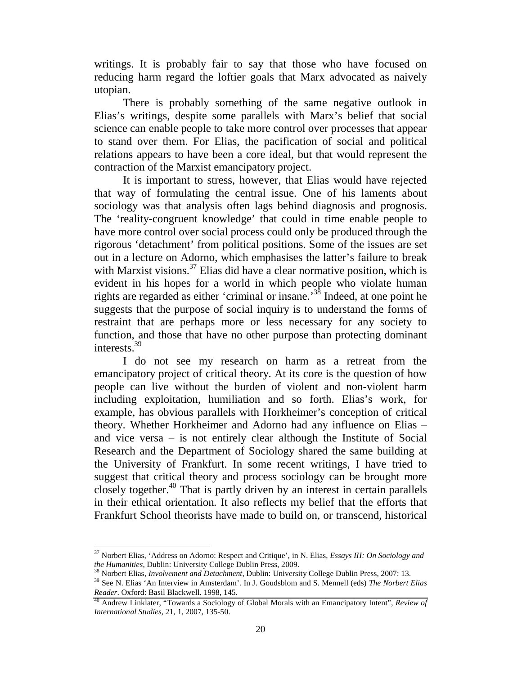writings. It is probably fair to say that those who have focused on reducing harm regard the loftier goals that Marx advocated as naively utopian.

There is probably something of the same negative outlook in Elias's writings, despite some parallels with Marx's belief that social science can enable people to take more control over processes that appear to stand over them. For Elias, the pacification of social and political relations appears to have been a core ideal, but that would represent the contraction of the Marxist emancipatory project.

It is important to stress, however, that Elias would have rejected that way of formulating the central issue. One of his laments about sociology was that analysis often lags behind diagnosis and prognosis. The 'reality-congruent knowledge' that could in time enable people to have more control over social process could only be produced through the rigorous 'detachment' from political positions. Some of the issues are set out in a lecture on Adorno, which emphasises the latter's failure to break with Marxist visions.<sup>37</sup> Elias did have a clear normative position, which is evident in his hopes for a world in which people who violate human rights are regarded as either 'criminal or insane.'38 Indeed, at one point he suggests that the purpose of social inquiry is to understand the forms of restraint that are perhaps more or less necessary for any society to function, and those that have no other purpose than protecting dominant interests.39

I do not see my research on harm as a retreat from the emancipatory project of critical theory. At its core is the question of how people can live without the burden of violent and non-violent harm including exploitation, humiliation and so forth. Elias's work, for example, has obvious parallels with Horkheimer's conception of critical theory. Whether Horkheimer and Adorno had any influence on Elias – and vice versa – is not entirely clear although the Institute of Social Research and the Department of Sociology shared the same building at the University of Frankfurt. In some recent writings, I have tried to suggest that critical theory and process sociology can be brought more closely together.<sup>40</sup> That is partly driven by an interest in certain parallels in their ethical orientation. It also reflects my belief that the efforts that Frankfurt School theorists have made to build on, or transcend, historical

<sup>37</sup> Norbert Elias, 'Address on Adorno: Respect and Critique', in N. Elias, *Essays III: On Sociology and* 

*the Humanities*, Dublin: University College Dublin Press, 2009.<br><sup>38</sup> Norbert Elias, *Involvement and Detachment*, Dublin: University College Dublin Press, 2007: 13.<br><sup>39</sup> See N. Elias 'An Interview in Amsterdam'. In J. Gou

*Reader*. Oxford: Basil Blackwell. 1998, 145.

<sup>40</sup> Andrew Linklater, "Towards a Sociology of Global Morals with an Emancipatory Intent", *Review of International Studies*, 21, 1, 2007, 135-50.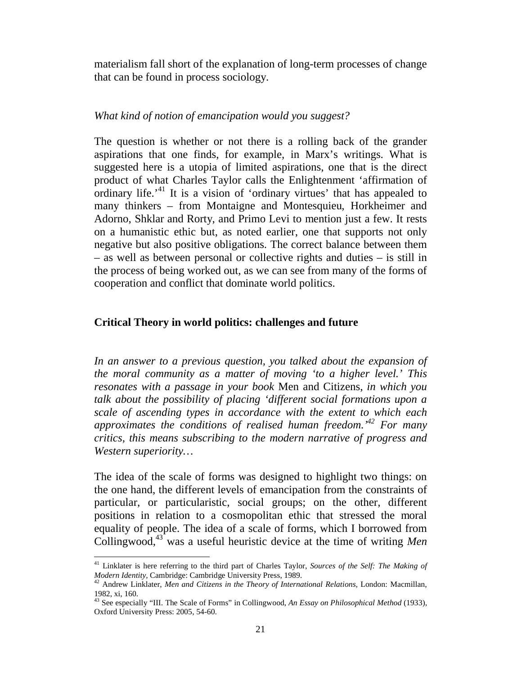materialism fall short of the explanation of long-term processes of change that can be found in process sociology.

### *What kind of notion of emancipation would you suggest?*

The question is whether or not there is a rolling back of the grander aspirations that one finds, for example, in Marx's writings. What is suggested here is a utopia of limited aspirations, one that is the direct product of what Charles Taylor calls the Enlightenment 'affirmation of ordinary life.<sup>41</sup> It is a vision of 'ordinary virtues' that has appealed to many thinkers – from Montaigne and Montesquieu, Horkheimer and Adorno, Shklar and Rorty, and Primo Levi to mention just a few. It rests on a humanistic ethic but, as noted earlier, one that supports not only negative but also positive obligations. The correct balance between them – as well as between personal or collective rights and duties – is still in the process of being worked out, as we can see from many of the forms of cooperation and conflict that dominate world politics.

### **Critical Theory in world politics: challenges and future**

*In an answer to a previous question, you talked about the expansion of the moral community as a matter of moving 'to a higher level.' This resonates with a passage in your book* Men and Citizens, *in which you talk about the possibility of placing 'different social formations upon a scale of ascending types in accordance with the extent to which each approximates the conditions of realised human freedom.'42 For many critics, this means subscribing to the modern narrative of progress and Western superiority…*

The idea of the scale of forms was designed to highlight two things: on the one hand, the different levels of emancipation from the constraints of particular, or particularistic, social groups; on the other, different positions in relation to a cosmopolitan ethic that stressed the moral equality of people. The idea of a scale of forms, which I borrowed from Collingwood,43 was a useful heuristic device at the time of writing *Men* 

<sup>41</sup> Linklater is here referring to the third part of Charles Taylor, *Sources of the Self: The Making of Modern Identity, Cambridge: Cambridge University Press, 1989.* 42 Andrew Linklater, *Men and Citizens in the Theory of International Relations*, London: Macmillan,

<sup>1982,</sup> xi, 160.

<sup>&</sup>lt;sup>43</sup> See especially "III. The Scale of Forms" in Collingwood, *An Essay on Philosophical Method* (1933), Oxford University Press: 2005, 54-60.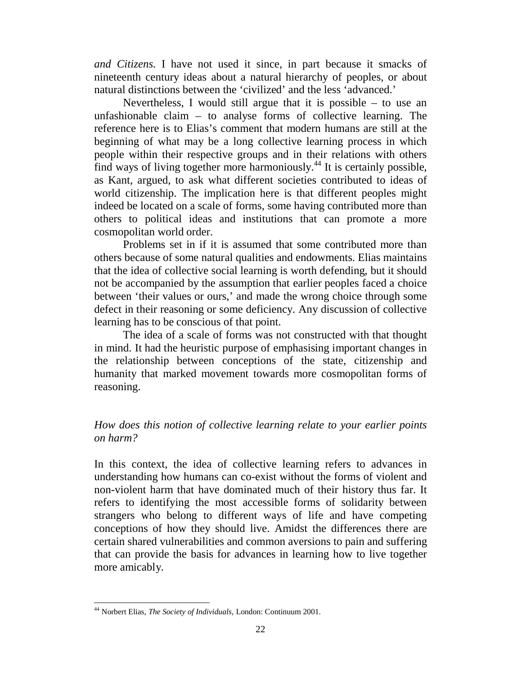*and Citizens*. I have not used it since, in part because it smacks of nineteenth century ideas about a natural hierarchy of peoples, or about natural distinctions between the 'civilized' and the less 'advanced.'

Nevertheless, I would still argue that it is possible – to use an unfashionable claim  $-$  to analyse forms of collective learning. The reference here is to Elias's comment that modern humans are still at the beginning of what may be a long collective learning process in which people within their respective groups and in their relations with others find ways of living together more harmoniously.<sup>44</sup> It is certainly possible, as Kant, argued, to ask what different societies contributed to ideas of world citizenship. The implication here is that different peoples might indeed be located on a scale of forms, some having contributed more than others to political ideas and institutions that can promote a more cosmopolitan world order.

Problems set in if it is assumed that some contributed more than others because of some natural qualities and endowments. Elias maintains that the idea of collective social learning is worth defending, but it should not be accompanied by the assumption that earlier peoples faced a choice between 'their values or ours,' and made the wrong choice through some defect in their reasoning or some deficiency. Any discussion of collective learning has to be conscious of that point.

The idea of a scale of forms was not constructed with that thought in mind. It had the heuristic purpose of emphasising important changes in the relationship between conceptions of the state, citizenship and humanity that marked movement towards more cosmopolitan forms of reasoning.

# *How does this notion of collective learning relate to your earlier points on harm?*

In this context, the idea of collective learning refers to advances in understanding how humans can co-exist without the forms of violent and non-violent harm that have dominated much of their history thus far. It refers to identifying the most accessible forms of solidarity between strangers who belong to different ways of life and have competing conceptions of how they should live. Amidst the differences there are certain shared vulnerabilities and common aversions to pain and suffering that can provide the basis for advances in learning how to live together more amicably.

<sup>44</sup> Norbert Elias, *The Society of Individuals*, London: Continuum 2001.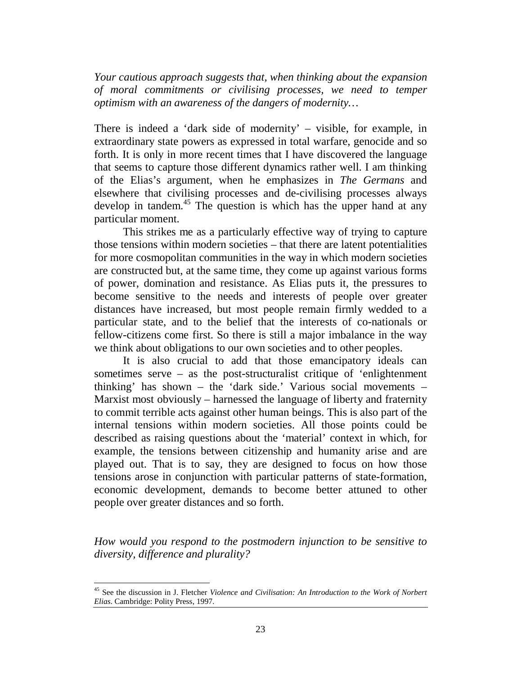*Your cautious approach suggests that, when thinking about the expansion of moral commitments or civilising processes, we need to temper optimism with an awareness of the dangers of modernity…*

There is indeed a 'dark side of modernity' – visible, for example, in extraordinary state powers as expressed in total warfare, genocide and so forth. It is only in more recent times that I have discovered the language that seems to capture those different dynamics rather well. I am thinking of the Elias's argument, when he emphasizes in *The Germans* and elsewhere that civilising processes and de-civilising processes always develop in tandem.<sup>45</sup> The question is which has the upper hand at any particular moment.

This strikes me as a particularly effective way of trying to capture those tensions within modern societies – that there are latent potentialities for more cosmopolitan communities in the way in which modern societies are constructed but, at the same time, they come up against various forms of power, domination and resistance. As Elias puts it, the pressures to become sensitive to the needs and interests of people over greater distances have increased, but most people remain firmly wedded to a particular state, and to the belief that the interests of co-nationals or fellow-citizens come first. So there is still a major imbalance in the way we think about obligations to our own societies and to other peoples.

It is also crucial to add that those emancipatory ideals can sometimes serve – as the post-structuralist critique of 'enlightenment thinking' has shown – the 'dark side.' Various social movements – Marxist most obviously – harnessed the language of liberty and fraternity to commit terrible acts against other human beings. This is also part of the internal tensions within modern societies. All those points could be described as raising questions about the 'material' context in which, for example, the tensions between citizenship and humanity arise and are played out. That is to say, they are designed to focus on how those tensions arose in conjunction with particular patterns of state-formation, economic development, demands to become better attuned to other people over greater distances and so forth.

*How would you respond to the postmodern injunction to be sensitive to diversity, difference and plurality?*

<sup>45</sup> See the discussion in J. Fletcher *Violence and Civilisation: An Introduction to the Work of Norbert Elias*. Cambridge: Polity Press, 1997.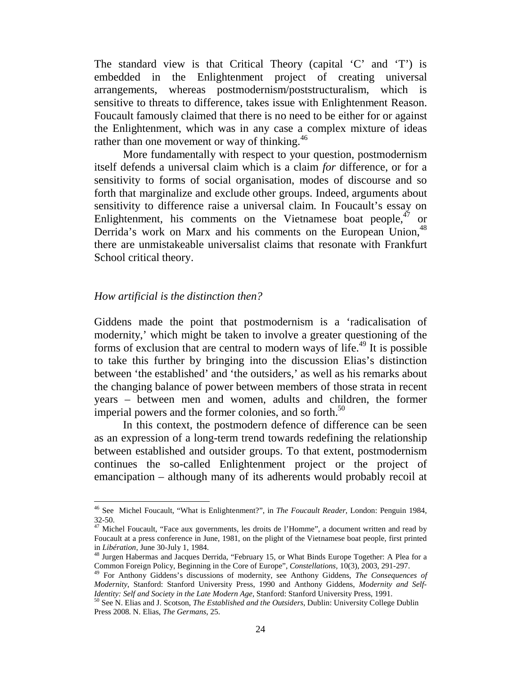The standard view is that Critical Theory (capital 'C' and 'T') is embedded in the Enlightenment project of creating universal arrangements, whereas postmodernism/poststructuralism, which is sensitive to threats to difference, takes issue with Enlightenment Reason. Foucault famously claimed that there is no need to be either for or against the Enlightenment, which was in any case a complex mixture of ideas rather than one movement or way of thinking.<sup>46</sup>

More fundamentally with respect to your question, postmodernism itself defends a universal claim which is a claim *for* difference, or for a sensitivity to forms of social organisation, modes of discourse and so forth that marginalize and exclude other groups. Indeed, arguments about sensitivity to difference raise a universal claim. In Foucault's essay on Enlightenment, his comments on the Vietnamese boat people,  $47$  or Derrida's work on Marx and his comments on the European Union, <sup>48</sup> there are unmistakeable universalist claims that resonate with Frankfurt School critical theory.

### *How artificial is the distinction then?*

-

Giddens made the point that postmodernism is a 'radicalisation of modernity,' which might be taken to involve a greater questioning of the forms of exclusion that are central to modern ways of life.<sup>49</sup> It is possible to take this further by bringing into the discussion Elias's distinction between 'the established' and 'the outsiders,' as well as his remarks about the changing balance of power between members of those strata in recent years – between men and women, adults and children, the former imperial powers and the former colonies, and so forth. $50$ 

In this context, the postmodern defence of difference can be seen as an expression of a long-term trend towards redefining the relationship between established and outsider groups. To that extent, postmodernism continues the so-called Enlightenment project or the project of emancipation – although many of its adherents would probably recoil at

<sup>46</sup> See Michel Foucault, "What is Enlightenment?", in *The Foucault Reader*, London: Penguin 1984,  $32-50.$ 

<sup>47</sup> Michel Foucault, "Face aux governments, les droits de l'Homme", a document written and read by Foucault at a press conference in June, 1981, on the plight of the Vietnamese boat people, first printed in *Libération*, June 30-July 1, 1984.<br><sup>48</sup> Jurgen Habermas and Jacques Derrida, "February 15, or What Binds Europe Together: A Plea for a

Common Foreign Policy, Beginning in the Core of Europe", *Constellations*, 10(3), 2003, 291-297.<br><sup>49</sup> For Anthony Giddens's discussions of modernity, see Anthony Giddens, *The Consequences of* 

*Modernity*, Stanford: Stanford University Press, 1990 and Anthony Giddens, *Modernity and Self-Identity: Self and Society in the Late Modern Age*, Stanford: Stanford University Press, 1991.<br><sup>50</sup> See N. Elias and J. Scotson, *The Established and the Outsiders*, Dublin: University College Dublin

Press 2008. N. Elias, *The Germans*, 25.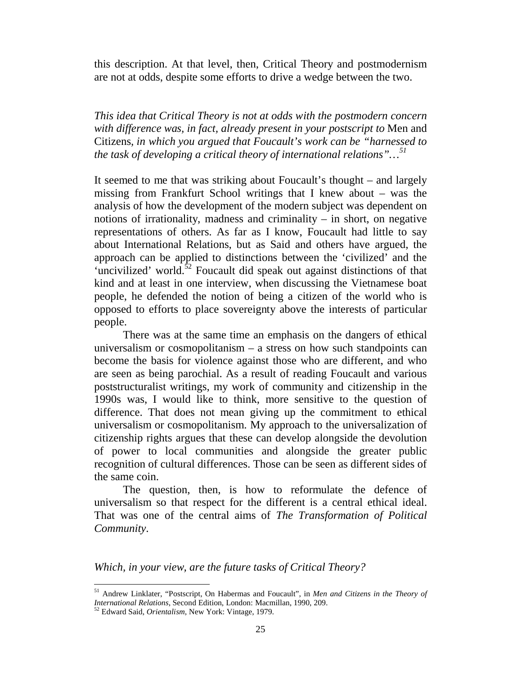this description. At that level, then, Critical Theory and postmodernism are not at odds, despite some efforts to drive a wedge between the two.

*This idea that Critical Theory is not at odds with the postmodern concern with difference was, in fact, already present in your postscript to* Men and Citizens*, in which you argued that Foucault's work can be "harnessed to the task of developing a critical theory of international relations"…<sup>51</sup>*

It seemed to me that was striking about Foucault's thought – and largely missing from Frankfurt School writings that I knew about – was the analysis of how the development of the modern subject was dependent on notions of irrationality, madness and criminality  $-$  in short, on negative representations of others. As far as I know, Foucault had little to say about International Relations, but as Said and others have argued, the approach can be applied to distinctions between the 'civilized' and the 'uncivilized' world. $52$  Foucault did speak out against distinctions of that kind and at least in one interview, when discussing the Vietnamese boat people, he defended the notion of being a citizen of the world who is opposed to efforts to place sovereignty above the interests of particular people.

There was at the same time an emphasis on the dangers of ethical universalism or cosmopolitanism – a stress on how such standpoints can become the basis for violence against those who are different, and who are seen as being parochial. As a result of reading Foucault and various poststructuralist writings, my work of community and citizenship in the 1990s was, I would like to think, more sensitive to the question of difference. That does not mean giving up the commitment to ethical universalism or cosmopolitanism. My approach to the universalization of citizenship rights argues that these can develop alongside the devolution of power to local communities and alongside the greater public recognition of cultural differences. Those can be seen as different sides of the same coin.

The question, then, is how to reformulate the defence of universalism so that respect for the different is a central ethical ideal. That was one of the central aims of *The Transformation of Political Community*.

*Which, in your view, are the future tasks of Critical Theory?*

<sup>&</sup>lt;sup>51</sup> Andrew Linklater, "Postscript, On Habermas and Foucault", in *Men and Citizens in the Theory of International Relations*, Second Edition, London: Macmillan, 1990, 209.

<sup>&</sup>lt;sup>52</sup> Edward Said, *Orientalism*, New York: Vintage, 1979.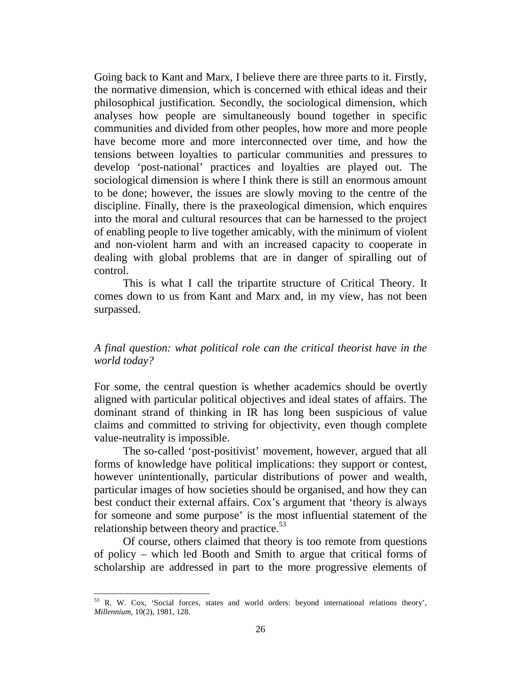Going back to Kant and Marx, I believe there are three parts to it. Firstly, the normative dimension, which is concerned with ethical ideas and their philosophical justification. Secondly, the sociological dimension, which analyses how people are simultaneously bound together in specific communities and divided from other peoples, how more and more people have become more and more interconnected over time, and how the tensions between loyalties to particular communities and pressures to develop 'post-national' practices and loyalties are played out. The sociological dimension is where I think there is still an enormous amount to be done; however, the issues are slowly moving to the centre of the discipline. Finally, there is the praxeological dimension, which enquires into the moral and cultural resources that can be harnessed to the project of enabling people to live together amicably, with the minimum of violent and non-violent harm and with an increased capacity to cooperate in dealing with global problems that are in danger of spiralling out of control.

This is what I call the tripartite structure of Critical Theory. It comes down to us from Kant and Marx and, in my view, has not been surpassed.

# *A final question: what political role can the critical theorist have in the world today?*

For some, the central question is whether academics should be overtly aligned with particular political objectives and ideal states of affairs. The dominant strand of thinking in IR has long been suspicious of value claims and committed to striving for objectivity, even though complete value-neutrality is impossible.

The so-called 'post-positivist' movement, however, argued that all forms of knowledge have political implications: they support or contest, however unintentionally, particular distributions of power and wealth, particular images of how societies should be organised, and how they can best conduct their external affairs. Cox's argument that 'theory is always for someone and some purpose' is the most influential statement of the relationship between theory and practice. $53$ 

Of course, others claimed that theory is too remote from questions of policy – which led Booth and Smith to argue that critical forms of scholarship are addressed in part to the more progressive elements of

<sup>&</sup>lt;sup>53</sup> R. W. Cox, 'Social forces, states and world orders: beyond international relations theory', *Millennium*, 10(2), 1981, 128.